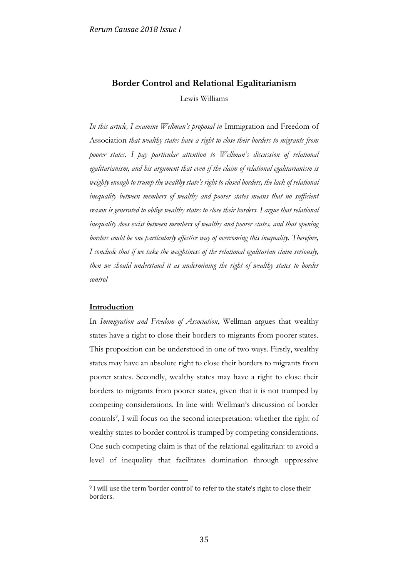# **Border Control and Relational Egalitarianism**

Lewis Williams

*In this article, I examine Wellman's proposal in* Immigration and Freedom of Association *that wealthy states have a right to close their borders to migrants from poorer states. I pay particular attention to Wellman's discussion of relational egalitarianism, and his argument that even if the claim of relational egalitarianism is weighty enough to trump the wealthy state's right to closed borders, the lack of relational inequality between members of wealthy and poorer states means that no sufficient reason is generated to oblige wealthy states to close their borders. I argue that relational inequality does exist between members of wealthy and poorer states, and that opening*  borders could be one particularly effective way of overcoming this inequality. Therefore, *I conclude that if we take the weightiness of the relational egalitarian claim seriously, then we should understand it as undermining the right of wealthy states to border control*

# **Introduction**

1

In *Immigration and Freedom of Association*, Wellman argues that wealthy states have a right to close their borders to migrants from poorer states. This proposition can be understood in one of two ways. Firstly, wealthy states may have an absolute right to close their borders to migrants from poorer states. Secondly, wealthy states may have a right to close their borders to migrants from poorer states, given that it is not trumped by competing considerations. In line with Wellman's discussion of border controls<sup>9</sup>, I will focus on the second interpretation: whether the right of wealthy states to border control is trumped by competing considerations. One such competing claim is that of the relational egalitarian: to avoid a level of inequality that facilitates domination through oppressive

<sup>9</sup> I will use the term 'border control' to refer to the state's right to close their borders.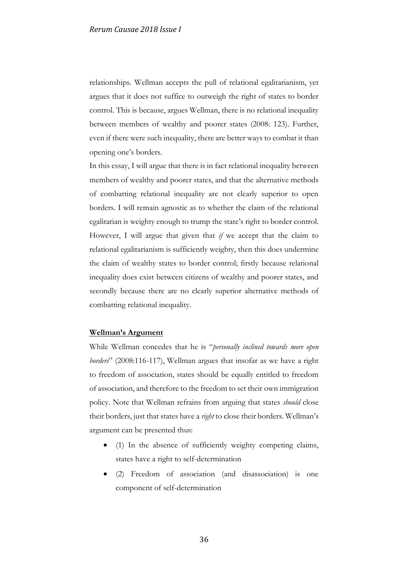relationships. Wellman accepts the pull of relational egalitarianism, yet argues that it does not suffice to outweigh the right of states to border control. This is because, argues Wellman, there is no relational inequality between members of wealthy and poorer states (2008: 123). Further, even if there were such inequality, there are better ways to combat it than opening one's borders.

In this essay, I will argue that there is in fact relational inequality between members of wealthy and poorer states, and that the alternative methods of combatting relational inequality are not clearly superior to open borders. I will remain agnostic as to whether the claim of the relational egalitarian is weighty enough to trump the state's right to border control. However, I will argue that given that *if* we accept that the claim to relational egalitarianism is sufficiently weighty, then this does undermine the claim of wealthy states to border control; firstly because relational inequality does exist between citizens of wealthy and poorer states, and secondly because there are no clearly superior alternative methods of combatting relational inequality.

### **Wellman's Argument**

While Wellman concedes that he is "*personally inclined towards more open borders*" (2008:116-117), Wellman argues that insofar as we have a right to freedom of association, states should be equally entitled to freedom of association, and therefore to the freedom to set their own immigration policy. Note that Wellman refrains from arguing that states *should* close their borders, just that states have a *right* to close their borders. Wellman's argument can be presented thus:

- (1) In the absence of sufficiently weighty competing claims, states have a right to self-determination
- (2) Freedom of association (and disassociation) is one component of self-determination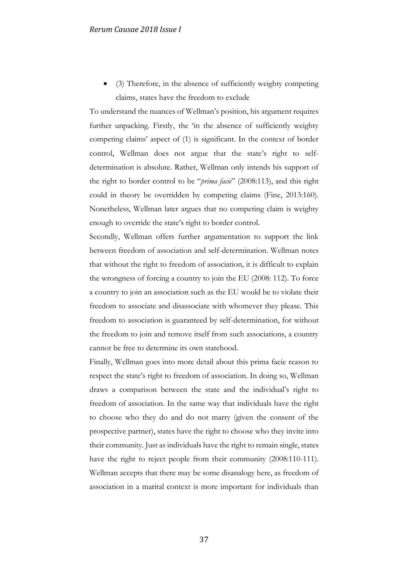• (3) Therefore, in the absence of sufficiently weighty competing claims, states have the freedom to exclude

To understand the nuances of Wellman's position, his argument requires further unpacking. Firstly, the 'in the absence of sufficiently weighty competing claims' aspect of (1) is significant. In the context of border control, Wellman does not argue that the state's right to selfdetermination is absolute. Rather, Wellman only intends his support of the right to border control to be "*prima facie*" (2008:113), and this right could in theory be overridden by competing claims (Fine, 2013:160). Nonetheless, Wellman later argues that no competing claim is weighty enough to override the state's right to border control.

Secondly, Wellman offers further argumentation to support the link between freedom of association and self-determination. Wellman notes that without the right to freedom of association, it is difficult to explain the wrongness of forcing a country to join the EU (2008: 112). To force a country to join an association such as the EU would be to violate their freedom to associate and disassociate with whomever they please. This freedom to association is guaranteed by self-determination, for without the freedom to join and remove itself from such associations, a country cannot be free to determine its own statehood.

Finally, Wellman goes into more detail about this prima facie reason to respect the state's right to freedom of association. In doing so, Wellman draws a comparison between the state and the individual's right to freedom of association. In the same way that individuals have the right to choose who they do and do not marry (given the consent of the prospective partner), states have the right to choose who they invite into their community. Just as individuals have the right to remain single, states have the right to reject people from their community (2008:110-111). Wellman accepts that there may be some disanalogy here, as freedom of association in a marital context is more important for individuals than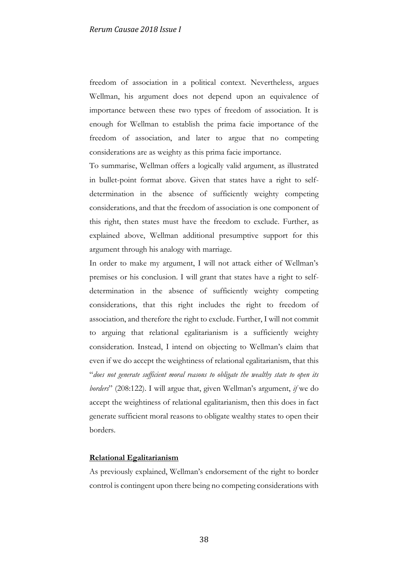freedom of association in a political context. Nevertheless, argues Wellman, his argument does not depend upon an equivalence of importance between these two types of freedom of association. It is enough for Wellman to establish the prima facie importance of the freedom of association, and later to argue that no competing considerations are as weighty as this prima facie importance.

To summarise, Wellman offers a logically valid argument, as illustrated in bullet-point format above. Given that states have a right to selfdetermination in the absence of sufficiently weighty competing considerations, and that the freedom of association is one component of this right, then states must have the freedom to exclude. Further, as explained above, Wellman additional presumptive support for this argument through his analogy with marriage.

In order to make my argument, I will not attack either of Wellman's premises or his conclusion. I will grant that states have a right to selfdetermination in the absence of sufficiently weighty competing considerations, that this right includes the right to freedom of association, and therefore the right to exclude. Further, I will not commit to arguing that relational egalitarianism is a sufficiently weighty consideration. Instead, I intend on objecting to Wellman's claim that even if we do accept the weightiness of relational egalitarianism, that this "*does not generate sufficient moral reasons to obligate the wealthy state to open its borders*" (208:122). I will argue that, given Wellman's argument, *if* we do accept the weightiness of relational egalitarianism, then this does in fact generate sufficient moral reasons to obligate wealthy states to open their borders.

### **Relational Egalitarianism**

As previously explained, Wellman's endorsement of the right to border control is contingent upon there being no competing considerations with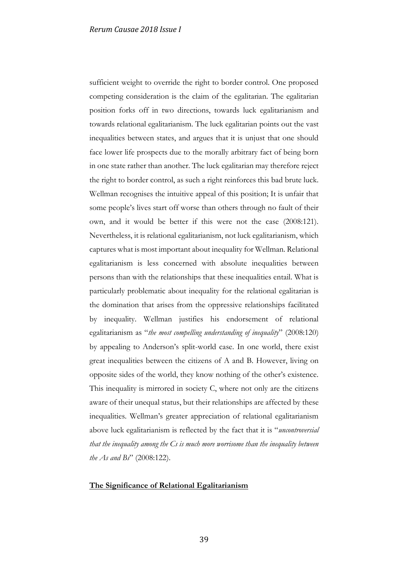sufficient weight to override the right to border control. One proposed competing consideration is the claim of the egalitarian. The egalitarian position forks off in two directions, towards luck egalitarianism and towards relational egalitarianism. The luck egalitarian points out the vast inequalities between states, and argues that it is unjust that one should face lower life prospects due to the morally arbitrary fact of being born in one state rather than another. The luck egalitarian may therefore reject the right to border control, as such a right reinforces this bad brute luck. Wellman recognises the intuitive appeal of this position; It is unfair that some people's lives start off worse than others through no fault of their own, and it would be better if this were not the case (2008:121). Nevertheless, it is relational egalitarianism, not luck egalitarianism, which captures what is most important about inequality for Wellman. Relational egalitarianism is less concerned with absolute inequalities between persons than with the relationships that these inequalities entail. What is particularly problematic about inequality for the relational egalitarian is the domination that arises from the oppressive relationships facilitated by inequality. Wellman justifies his endorsement of relational egalitarianism as "*the most compelling understanding of inequality*" (2008:120) by appealing to Anderson's split-world case. In one world, there exist great inequalities between the citizens of A and B. However, living on opposite sides of the world, they know nothing of the other's existence. This inequality is mirrored in society C, where not only are the citizens aware of their unequal status, but their relationships are affected by these inequalities. Wellman's greater appreciation of relational egalitarianism above luck egalitarianism is reflected by the fact that it is "*uncontroversial that the inequality among the Cs is much more worrisome than the inequality between the As and Bs*" (2008:122).

# **The Significance of Relational Egalitarianism**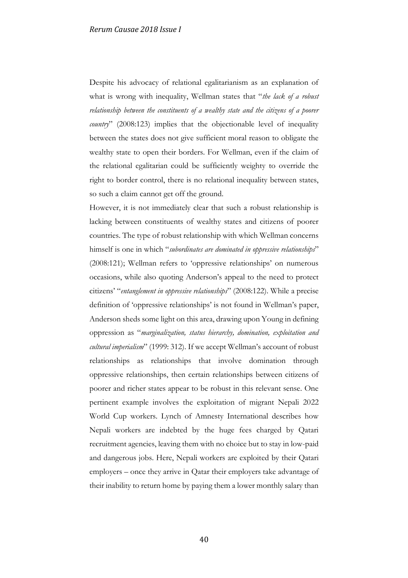Despite his advocacy of relational egalitarianism as an explanation of what is wrong with inequality, Wellman states that "*the lack of a robust relationship between the constituents of a wealthy state and the citizens of a poorer country*" (2008:123) implies that the objectionable level of inequality between the states does not give sufficient moral reason to obligate the wealthy state to open their borders. For Wellman, even if the claim of the relational egalitarian could be sufficiently weighty to override the right to border control, there is no relational inequality between states, so such a claim cannot get off the ground.

However, it is not immediately clear that such a robust relationship is lacking between constituents of wealthy states and citizens of poorer countries. The type of robust relationship with which Wellman concerns himself is one in which "*subordinates are dominated in oppressive relationships*" (2008:121); Wellman refers to 'oppressive relationships' on numerous occasions, while also quoting Anderson's appeal to the need to protect citizens' "*entanglement in oppressive relationships*" (2008:122). While a precise definition of 'oppressive relationships' is not found in Wellman's paper, Anderson sheds some light on this area, drawing upon Young in defining oppression as "*marginalization, status hierarchy, domination, exploitation and cultural imperialism*" (1999: 312). If we accept Wellman's account of robust relationships as relationships that involve domination through oppressive relationships, then certain relationships between citizens of poorer and richer states appear to be robust in this relevant sense. One pertinent example involves the exploitation of migrant Nepali 2022 World Cup workers. Lynch of Amnesty International describes how Nepali workers are indebted by the huge fees charged by Qatari recruitment agencies, leaving them with no choice but to stay in low-paid and dangerous jobs. Here, Nepali workers are exploited by their Qatari employers – once they arrive in Qatar their employers take advantage of their inability to return home by paying them a lower monthly salary than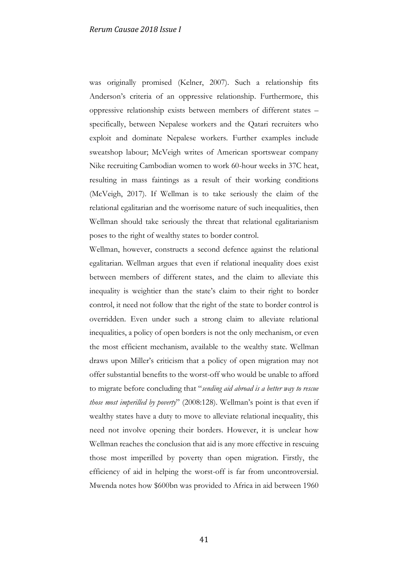was originally promised (Kelner, 2007). Such a relationship fits Anderson's criteria of an oppressive relationship. Furthermore, this oppressive relationship exists between members of different states – specifically, between Nepalese workers and the Qatari recruiters who exploit and dominate Nepalese workers. Further examples include sweatshop labour; McVeigh writes of American sportswear company Nike recruiting Cambodian women to work 60-hour weeks in 37C heat, resulting in mass faintings as a result of their working conditions (McVeigh, 2017). If Wellman is to take seriously the claim of the relational egalitarian and the worrisome nature of such inequalities, then Wellman should take seriously the threat that relational egalitarianism poses to the right of wealthy states to border control.

Wellman, however, constructs a second defence against the relational egalitarian. Wellman argues that even if relational inequality does exist between members of different states, and the claim to alleviate this inequality is weightier than the state's claim to their right to border control, it need not follow that the right of the state to border control is overridden. Even under such a strong claim to alleviate relational inequalities, a policy of open borders is not the only mechanism, or even the most efficient mechanism, available to the wealthy state. Wellman draws upon Miller's criticism that a policy of open migration may not offer substantial benefits to the worst-off who would be unable to afford to migrate before concluding that "*sending aid abroad is a better way to rescue those most imperilled by poverty*" (2008:128). Wellman's point is that even if wealthy states have a duty to move to alleviate relational inequality, this need not involve opening their borders. However, it is unclear how Wellman reaches the conclusion that aid is any more effective in rescuing those most imperilled by poverty than open migration. Firstly, the efficiency of aid in helping the worst-off is far from uncontroversial. Mwenda notes how \$600bn was provided to Africa in aid between 1960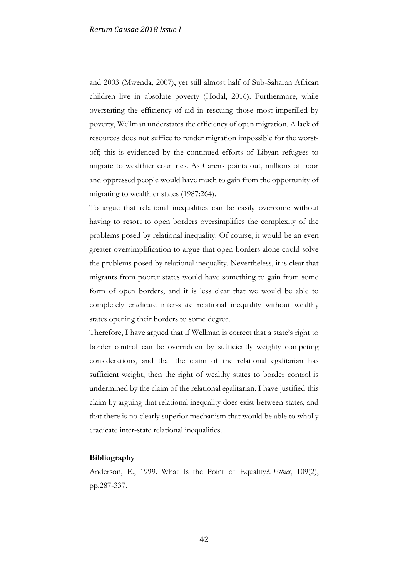and 2003 (Mwenda, 2007), yet still almost half of Sub-Saharan African children live in absolute poverty (Hodal, 2016). Furthermore, while overstating the efficiency of aid in rescuing those most imperilled by poverty, Wellman understates the efficiency of open migration. A lack of resources does not suffice to render migration impossible for the worstoff; this is evidenced by the continued efforts of Libyan refugees to migrate to wealthier countries. As Carens points out, millions of poor and oppressed people would have much to gain from the opportunity of migrating to wealthier states (1987:264).

To argue that relational inequalities can be easily overcome without having to resort to open borders oversimplifies the complexity of the problems posed by relational inequality. Of course, it would be an even greater oversimplification to argue that open borders alone could solve the problems posed by relational inequality. Nevertheless, it is clear that migrants from poorer states would have something to gain from some form of open borders, and it is less clear that we would be able to completely eradicate inter-state relational inequality without wealthy states opening their borders to some degree.

Therefore, I have argued that if Wellman is correct that a state's right to border control can be overridden by sufficiently weighty competing considerations, and that the claim of the relational egalitarian has sufficient weight, then the right of wealthy states to border control is undermined by the claim of the relational egalitarian. I have justified this claim by arguing that relational inequality does exist between states, and that there is no clearly superior mechanism that would be able to wholly eradicate inter-state relational inequalities.

#### **Bibliography**

Anderson, E., 1999. What Is the Point of Equality?. *Ethics*, 109(2), pp.287-337.